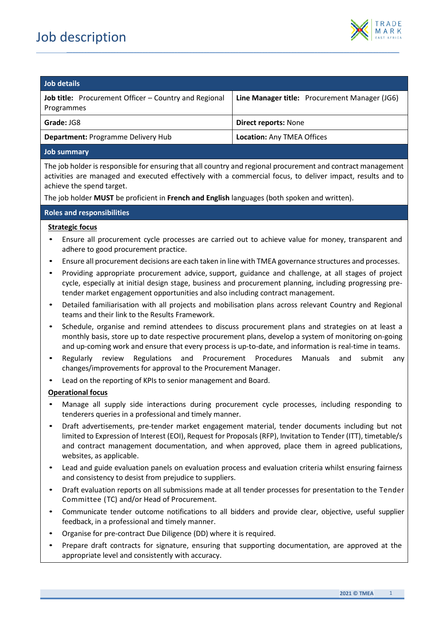

| Job details                                                                |                                               |  |
|----------------------------------------------------------------------------|-----------------------------------------------|--|
| <b>Job title:</b> Procurement Officer – Country and Regional<br>Programmes | Line Manager title: Procurement Manager (JG6) |  |
| Grade: JG8                                                                 | <b>Direct reports: None</b>                   |  |
| <b>Department: Programme Delivery Hub</b>                                  | <b>Location: Any TMEA Offices</b>             |  |
|                                                                            |                                               |  |

*\_\_\_\_\_\_\_\_\_\_\_\_\_\_\_\_\_\_\_\_\_\_\_\_\_\_\_\_\_\_\_\_\_\_\_\_\_\_\_\_\_\_\_\_\_\_\_\_\_\_\_\_\_\_\_\_\_\_\_\_\_\_\_\_\_\_\_\_\_\_\_\_\_\_\_\_\_\_\_\_\_\_\_\_\_\_\_\_\_\_\_\_\_\_\_\_\_\_\_\_\_\_\_\_\_\_\_\_\_\_\_\_\_\_*

### **Job summary**

The job holder is responsible for ensuring that all country and regional procurement and contract management activities are managed and executed effectively with a commercial focus, to deliver impact, results and to achieve the spend target.

The job holder **MUST** be proficient in **French and English** languages (both spoken and written).

### **Roles and responsibilities**

### **Strategic focus**

- Ensure all procurement cycle processes are carried out to achieve value for money, transparent and adhere to good procurement practice.
- Ensure all procurement decisions are each taken in line with TMEA governance structures and processes.
- Providing appropriate procurement advice, support, guidance and challenge, at all stages of project cycle, especially at initial design stage, business and procurement planning, including progressing pretender market engagement opportunities and also including contract management.
- Detailed familiarisation with all projects and mobilisation plans across relevant Country and Regional teams and their link to the Results Framework.
- Schedule, organise and remind attendees to discuss procurement plans and strategies on at least a monthly basis, store up to date respective procurement plans, develop a system of monitoring on-going and up-coming work and ensure that every process is up-to-date, and information is real-time in teams.
- Regularly review Regulations and Procurement Procedures Manuals and submit any changes/improvements for approval to the Procurement Manager.
- Lead on the reporting of KPIs to senior management and Board.

## **Operational focus**

- Manage all supply side interactions during procurement cycle processes, including responding to tenderers queries in a professional and timely manner.
- Draft advertisements, pre-tender market engagement material, tender documents including but not limited to Expression of Interest (EOI), Request for Proposals (RFP), Invitation to Tender (ITT), timetable/s and contract management documentation, and when approved, place them in agreed publications, websites, as applicable.
- Lead and guide evaluation panels on evaluation process and evaluation criteria whilst ensuring fairness and consistency to desist from prejudice to suppliers.
- Draft evaluation reports on all submissions made at all tender processes for presentation to the Tender Committee (TC) and/or Head of Procurement.
- Communicate tender outcome notifications to all bidders and provide clear, objective, useful supplier feedback, in a professional and timely manner.
- Organise for pre-contract Due Diligence (DD) where it is required.
- Prepare draft contracts for signature, ensuring that supporting documentation, are approved at the appropriate level and consistently with accuracy.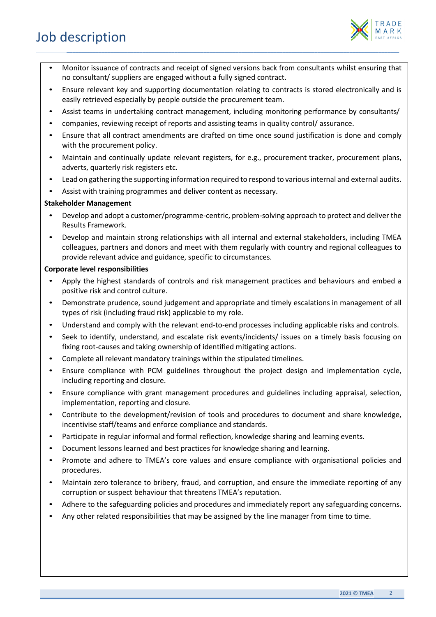

• Monitor issuance of contracts and receipt of signed versions back from consultants whilst ensuring that no consultant/ suppliers are engaged without a fully signed contract.

*\_\_\_\_\_\_\_\_\_\_\_\_\_\_\_\_\_\_\_\_\_\_\_\_\_\_\_\_\_\_\_\_\_\_\_\_\_\_\_\_\_\_\_\_\_\_\_\_\_\_\_\_\_\_\_\_\_\_\_\_\_\_\_\_\_\_\_\_\_\_\_\_\_\_\_\_\_\_\_\_\_\_\_\_\_\_\_\_\_\_\_\_\_\_\_\_\_\_\_\_\_\_\_\_\_\_\_\_\_\_\_\_\_\_*

- Ensure relevant key and supporting documentation relating to contracts is stored electronically and is easily retrieved especially by people outside the procurement team.
- Assist teams in undertaking contract management, including monitoring performance by consultants/
- companies, reviewing receipt of reports and assisting teams in quality control/ assurance.
- Ensure that all contract amendments are drafted on time once sound justification is done and comply with the procurement policy.
- Maintain and continually update relevant registers, for e.g., procurement tracker, procurement plans, adverts, quarterly risk registers etc.
- Lead on gathering the supporting information required to respond to various internal and external audits.
- Assist with training programmes and deliver content as necessary.

# **Stakeholder Management**

- Develop and adopt a customer/programme-centric, problem-solving approach to protect and deliver the Results Framework.
- Develop and maintain strong relationships with all internal and external stakeholders, including TMEA colleagues, partners and donors and meet with them regularly with country and regional colleagues to provide relevant advice and guidance, specific to circumstances.

## **Corporate level responsibilities**

- Apply the highest standards of controls and risk management practices and behaviours and embed a positive risk and control culture.
- Demonstrate prudence, sound judgement and appropriate and timely escalations in management of all types of risk (including fraud risk) applicable to my role.
- Understand and comply with the relevant end-to-end processes including applicable risks and controls.
- Seek to identify, understand, and escalate risk events/incidents/ issues on a timely basis focusing on fixing root-causes and taking ownership of identified mitigating actions.
- Complete all relevant mandatory trainings within the stipulated timelines.
- Ensure compliance with PCM guidelines throughout the project design and implementation cycle, including reporting and closure.
- Ensure compliance with grant management procedures and guidelines including appraisal, selection, implementation, reporting and closure.
- Contribute to the development/revision of tools and procedures to document and share knowledge, incentivise staff/teams and enforce compliance and standards.
- Participate in regular informal and formal reflection, knowledge sharing and learning events.
- Document lessons learned and best practices for knowledge sharing and learning.
- Promote and adhere to TMEA's core values and ensure compliance with organisational policies and procedures.
- Maintain zero tolerance to bribery, fraud, and corruption, and ensure the immediate reporting of any corruption or suspect behaviour that threatens TMEA's reputation.
- Adhere to the safeguarding policies and procedures and immediately report any safeguarding concerns.
- Any other related responsibilities that may be assigned by the line manager from time to time.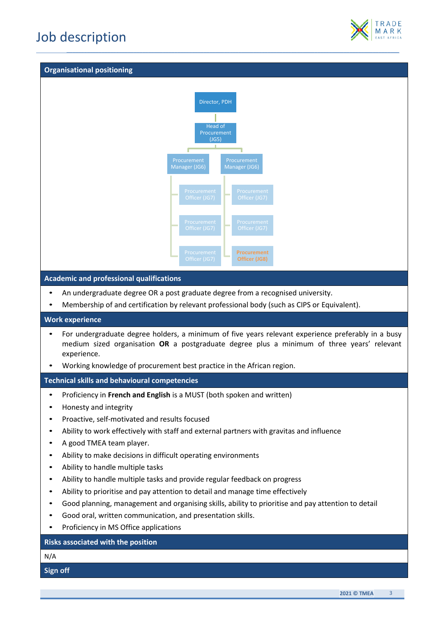

#### **Organisational positioning**



*\_\_\_\_\_\_\_\_\_\_\_\_\_\_\_\_\_\_\_\_\_\_\_\_\_\_\_\_\_\_\_\_\_\_\_\_\_\_\_\_\_\_\_\_\_\_\_\_\_\_\_\_\_\_\_\_\_\_\_\_\_\_\_\_\_\_\_\_\_\_\_\_\_\_\_\_\_\_\_\_\_\_\_\_\_\_\_\_\_\_\_\_\_\_\_\_\_\_\_\_\_\_\_\_\_\_\_\_\_\_\_\_\_\_*

• Membership of and certification by relevant professional body (such as CIPS or Equivalent).

# **Work experience**

- For undergraduate degree holders, a minimum of five years relevant experience preferably in a busy medium sized organisation **OR** a postgraduate degree plus a minimum of three years' relevant experience.
- Working knowledge of procurement best practice in the African region.

**Technical skills and behavioural competencies**

- Proficiency in **French and English** is a MUST (both spoken and written)
- Honesty and integrity
- Proactive, self-motivated and results focused
- Ability to work effectively with staff and external partners with gravitas and influence
- A good TMEA team player.
- Ability to make decisions in difficult operating environments
- Ability to handle multiple tasks
- Ability to handle multiple tasks and provide regular feedback on progress
- Ability to prioritise and pay attention to detail and manage time effectively
- Good planning, management and organising skills, ability to prioritise and pay attention to detail
- Good oral, written communication, and presentation skills.
- Proficiency in MS Office applications

# **Risks associated with the position**

N/A

**Sign off**